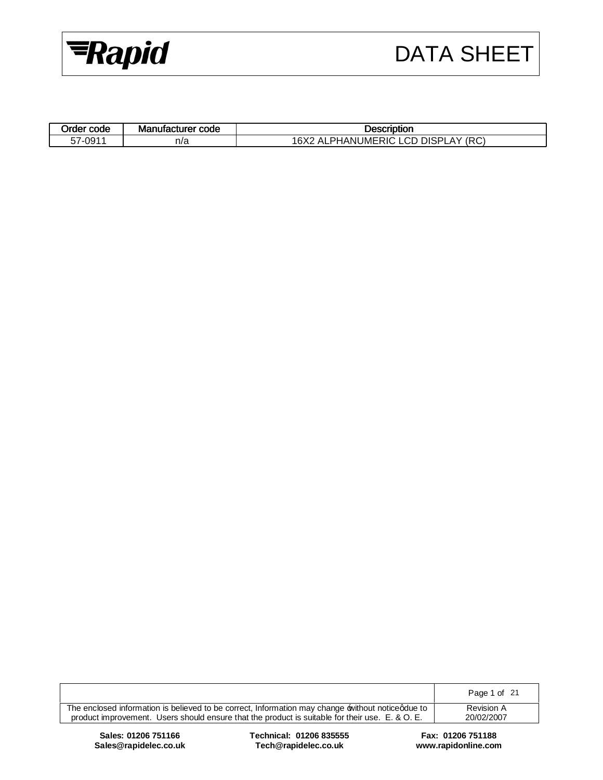

| Order code | Manufacturer code | Description                                                          |
|------------|-------------------|----------------------------------------------------------------------|
| 57-0911    | n/a               | LCD<br><b>LPHANUMERIC</b><br><b>DISPL</b><br>.AY (RC)<br>16X2<br>AL. |

| The enclosed information is believed to be correct, Information may change without noticedue to | <b>Revision A</b> |
|-------------------------------------------------------------------------------------------------|-------------------|
| product improvement. Users should ensure that the product is suitable for their use. E. & O. E. | 20/02/2007        |

**Sales: 01206 751166 Technical: 01206 835555 Fax: 01206 751188**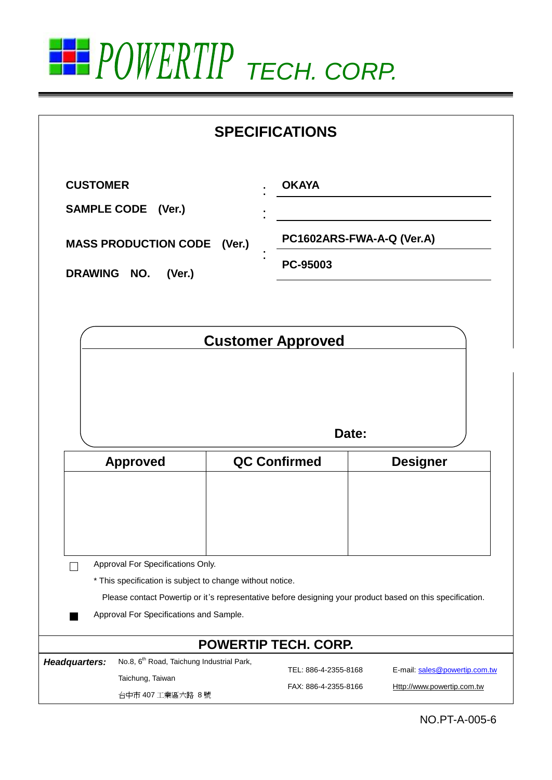

|                    |                                                                                                |  | <b>SPECIFICATIONS</b>       |                                                                                                           |  |
|--------------------|------------------------------------------------------------------------------------------------|--|-----------------------------|-----------------------------------------------------------------------------------------------------------|--|
| <b>CUSTOMER</b>    |                                                                                                |  | <b>OKAYA</b>                |                                                                                                           |  |
| <b>SAMPLE CODE</b> | (Ver.)                                                                                         |  |                             |                                                                                                           |  |
|                    | PC1602ARS-FWA-A-Q (Ver.A)<br><b>MASS PRODUCTION CODE</b><br>(Ver.)                             |  |                             |                                                                                                           |  |
| DRAWING NO.        | (Ver.)                                                                                         |  | PC-95003                    |                                                                                                           |  |
|                    |                                                                                                |  |                             |                                                                                                           |  |
|                    |                                                                                                |  | <b>Customer Approved</b>    |                                                                                                           |  |
|                    |                                                                                                |  |                             |                                                                                                           |  |
|                    |                                                                                                |  |                             |                                                                                                           |  |
|                    |                                                                                                |  | Date:                       |                                                                                                           |  |
|                    | <b>Approved</b>                                                                                |  | <b>QC Confirmed</b>         | <b>Designer</b>                                                                                           |  |
|                    |                                                                                                |  |                             |                                                                                                           |  |
|                    |                                                                                                |  |                             |                                                                                                           |  |
|                    |                                                                                                |  |                             |                                                                                                           |  |
|                    |                                                                                                |  |                             |                                                                                                           |  |
|                    | Approval For Specifications Only.<br>* This specification is subject to change without notice. |  |                             |                                                                                                           |  |
|                    |                                                                                                |  |                             | Please contact Powertip or it's representative before designing your product based on this specification. |  |
|                    | Approval For Specifications and Sample.                                                        |  |                             |                                                                                                           |  |
|                    |                                                                                                |  | <b>POWERTIP TECH. CORP.</b> |                                                                                                           |  |
| Headquarters:      | No.8, 6 <sup>th</sup> Road, Taichung Industrial Park,                                          |  | TEL: 886-4-2355-8168        | E-mail: sales@powertip.com.tw                                                                             |  |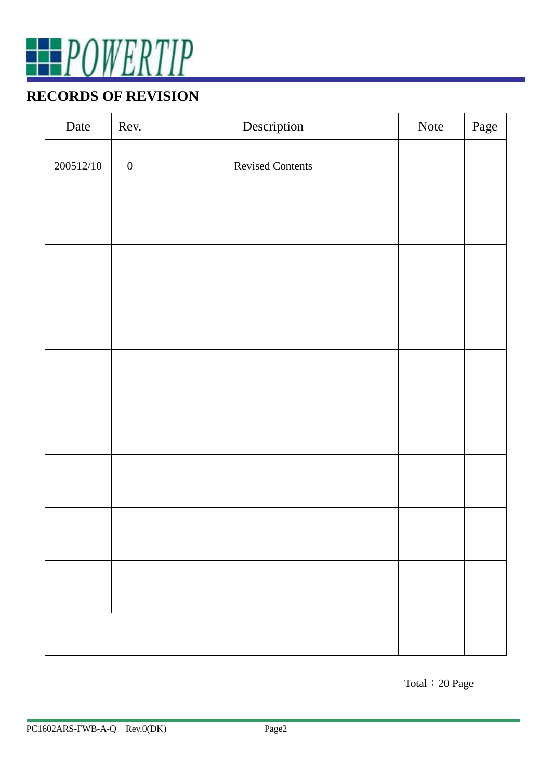

### **RECORDS OF REVISION**

| Date      | Rev.             | Description             | Note | Page |
|-----------|------------------|-------------------------|------|------|
| 200512/10 | $\boldsymbol{0}$ | <b>Revised Contents</b> |      |      |
|           |                  |                         |      |      |
|           |                  |                         |      |      |
|           |                  |                         |      |      |
|           |                  |                         |      |      |
|           |                  |                         |      |      |
|           |                  |                         |      |      |
|           |                  |                         |      |      |
|           |                  |                         |      |      |
|           |                  |                         |      |      |

Total:20 Page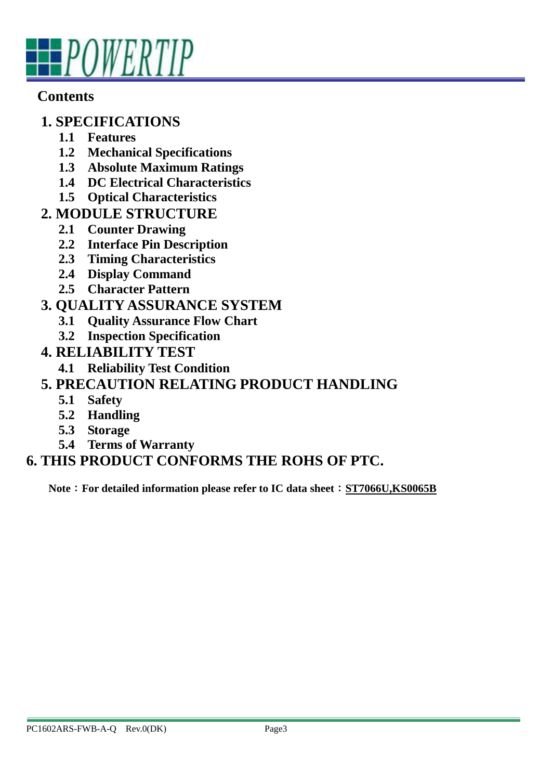

#### **Contents**

#### **1. SPECIFICATIONS**

- **1.1 Features**
- **1.2 Mechanical Specifications**
- **1.3 Absolute Maximum Ratings**
- **1.4 DC Electrical Characteristics**
- **1.5 Optical Characteristics**
- **2. MODULE STRUCTURE** 
	- **2.1 Counter Drawing**
	- **2.2 Interface Pin Description**
	- **2.3 Timing Characteristics**
	- **2.4 Display Command**
	- **2.5 Character Pattern**

### **3. QUALITY ASSURANCE SYSTEM**

- **3.1 Quality Assurance Flow Chart**
- **3.2 Inspection Specification**
- **4. RELIABILITY TEST**
	- **4.1 Reliability Test Condition**

### **5. PRECAUTION RELATING PRODUCT HANDLING**

- **5.1 Safety**
- **5.2 Handling**
- **5.3 Storage**
- **5.4 Terms of Warranty**

## **6. THIS PRODUCT CONFORMS THE ROHS OF PTC.**

**Note**:**For detailed information please refer to IC data sheet**:**ST7066U,KS0065B**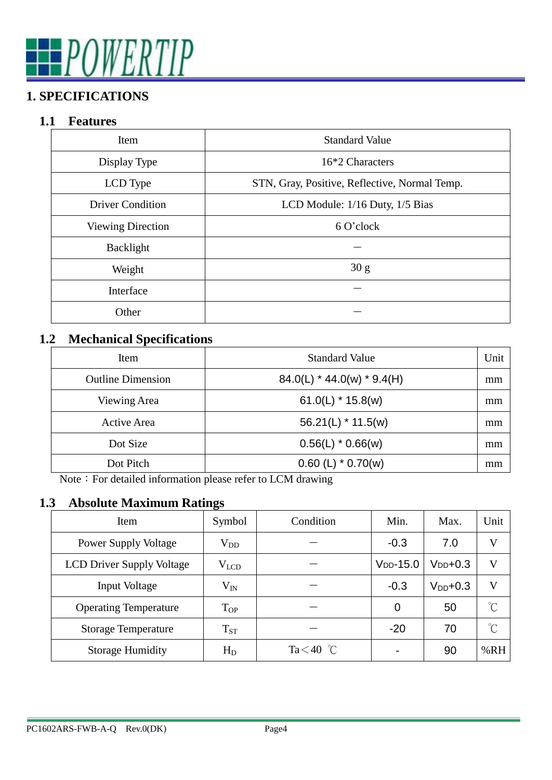# **FPOWERTIP**

# **1. SPECIFICATIONS**

#### **1.1 Features**

| Item                     | <b>Standard Value</b>                         |  |  |
|--------------------------|-----------------------------------------------|--|--|
| Display Type             | 16*2 Characters                               |  |  |
| LCD Type                 | STN, Gray, Positive, Reflective, Normal Temp. |  |  |
| <b>Driver Condition</b>  | LCD Module: 1/16 Duty, 1/5 Bias               |  |  |
| <b>Viewing Direction</b> | 6 O'clock                                     |  |  |
| Backlight                |                                               |  |  |
| Weight                   | 30 g                                          |  |  |
| Interface                |                                               |  |  |
| Other                    |                                               |  |  |

#### **1.2 Mechanical Specifications**

| Item                     | <b>Standard Value</b>        | Unit |
|--------------------------|------------------------------|------|
| <b>Outline Dimension</b> | $84.0(L)$ * 44.0(w) * 9.4(H) |      |
| Viewing Area             | $61.0(L)$ * 15.8(w)          | mm   |
| Active Area              | $56.21(L)$ * 11.5(w)         | mm   |
| Dot Size                 | $0.56(L)$ * 0.66(w)          | mm   |
| Dot Pitch                | $0.60$ (L) $*$ 0.70(w)       | mm   |

Note: For detailed information please refer to LCM drawing

#### **1.3 Absolute Maximum Ratings**

| Item                             | Symbol       | Condition    | Min.       | Max.          | Unit                 |
|----------------------------------|--------------|--------------|------------|---------------|----------------------|
| <b>Power Supply Voltage</b>      | $\rm V_{DD}$ |              | $-0.3$     | 7.0           | V                    |
| <b>LCD Driver Supply Voltage</b> | $V_{LCD}$    |              | $VDD-15.0$ | $V_{DD}$ +0.3 | V                    |
| Input Voltage                    | $\rm V_{IN}$ |              | $-0.3$     | $V_{DD}$ +0.3 | $\mathbf{V}$         |
| <b>Operating Temperature</b>     | $T_{OP}$     |              | 0          | 50            | $\mathrm{C}^{\circ}$ |
| <b>Storage Temperature</b>       | $T_{ST}$     |              | $-20$      | 70            | $^{\circ}C$          |
| <b>Storage Humidity</b>          | $H_D$        | Ta $<$ 40 °C |            | 90            | %RH                  |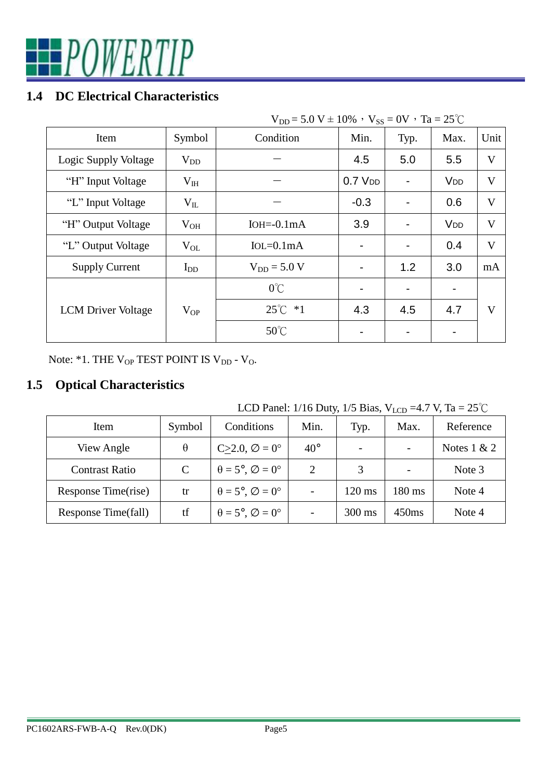

#### **1.4 DC Electrical Characteristics**

| $V_{DD} = 5.0 V \pm 10\%$ , $V_{SS} = 0V$ , $Ta = 25°C$ |              |                  |             |      |                       |      |
|---------------------------------------------------------|--------------|------------------|-------------|------|-----------------------|------|
| Item                                                    | Symbol       | Condition        | Min.        | Typ. | Max.                  | Unit |
| Logic Supply Voltage                                    | $V_{DD}$     |                  | 4.5         | 5.0  | 5.5                   | V    |
| "H" Input Voltage                                       | $\rm V_{IH}$ |                  | $0.7$ $VDD$ |      | <b>V<sub>DD</sub></b> | V    |
| "L" Input Voltage                                       | $V_{IL}$     |                  | $-0.3$      |      | 0.6                   | V    |
| "H" Output Voltage                                      | $V_{OH}$     | $IOH = 0.1mA$    | 3.9         |      | <b>V<sub>DD</sub></b> | V    |
| "L" Output Voltage                                      | $V_{OL}$     | $IoL = 0.1mA$    |             |      | 0.4                   | V    |
| <b>Supply Current</b>                                   | $I_{DD}$     | $V_{DD} = 5.0 V$ |             | 1.2  | 3.0                   | mA   |
|                                                         |              | $0^{\circ}$ C    |             |      |                       |      |
| <b>LCM</b> Driver Voltage                               | $V_{OP}$     | $25^{\circ}C$ *1 | 4.3         | 4.5  | 4.7                   | V    |
|                                                         |              | $50^{\circ}$ C   |             |      |                       |      |

Note: \*1. THE  $\rm V_{OP}$  TEST POINT IS  $\rm V_{DD}$  -  $\rm V_{O}$ 

#### **1.5 Optical Characteristics**

LCD Panel: 1/16 Duty, 1/5 Bias,  $V_{LCD} = 4.7 V$ , Ta = 25°C

| Item                  | Symbol   | Conditions                                    | Min.         | Typ.             | Max.             | Reference     |
|-----------------------|----------|-----------------------------------------------|--------------|------------------|------------------|---------------|
| View Angle            | $\theta$ | $C>2.0, \emptyset = 0^{\circ}$                | $40^{\circ}$ |                  |                  | Notes $1 & 2$ |
| <b>Contrast Ratio</b> | C        | $\theta = 5^{\circ}, \emptyset = 0^{\circ}$   | 2            | 3                |                  | Note 3        |
| Response Time(rise)   | tr       | $\theta = 5^{\circ}, \emptyset = 0^{\circ}$   |              | $120 \text{ ms}$ | $180 \text{ ms}$ | Note 4        |
| Response Time(fall)   | tf       | $\theta = 5^{\circ}, \varnothing = 0^{\circ}$ |              | $300 \text{ ms}$ | 450ms            | Note 4        |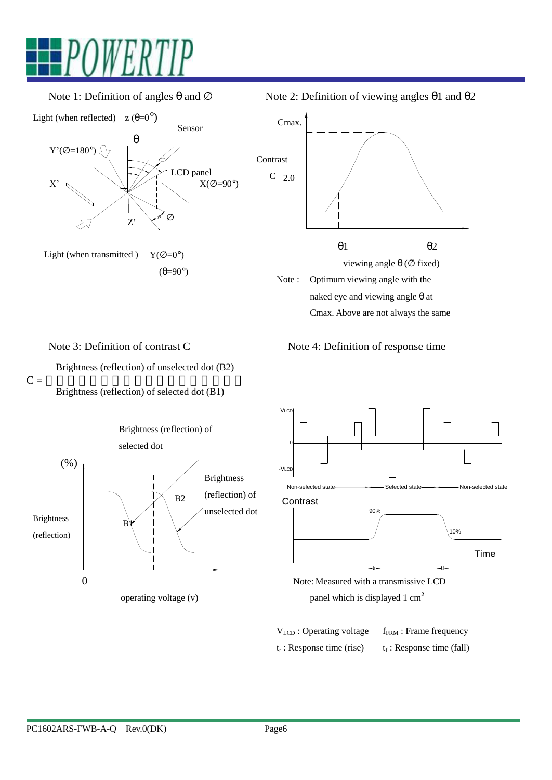

Light (when reflected)  $z (\theta=0^{\circ})$ 



Light (when transmitted )  $Y(\emptyset = 0^{\circ})$  $(\theta=90^\circ)$ 

Note 1: Definition of angles  $\theta$  and  $\varnothing$  Note 2: Definition of viewing angles  $\theta$ 1 and  $\theta$ 2



Note 3: Definition of contrast C Note 4: Definition of response time

Brightness (reflection) of unselected dot (B2)

 $C =$   $\overline{C}$  =  $\overline{C}$  =  $\overline{C}$  =  $\overline{C}$  =  $\overline{C}$  =  $\overline{C}$  =  $\overline{C}$  =  $\overline{C}$  =  $\overline{C}$  =  $\overline{C}$  =  $\overline{C}$  =  $\overline{C}$  =  $\overline{C}$  =  $\overline{C}$  =  $\overline{C}$  =  $\overline{C}$  =  $\overline{C}$  =  $\overline{C}$  =  $\overline{C}$  =  $\overline{C}$ Brightness (reflection) of selected dot (B1)







**V**<sub>LCD</sub>: Operating voltage f<sub>FRM</sub>: Frame frequency  $t_r$  $t_r$ : Response time (rise) : Response time (fall)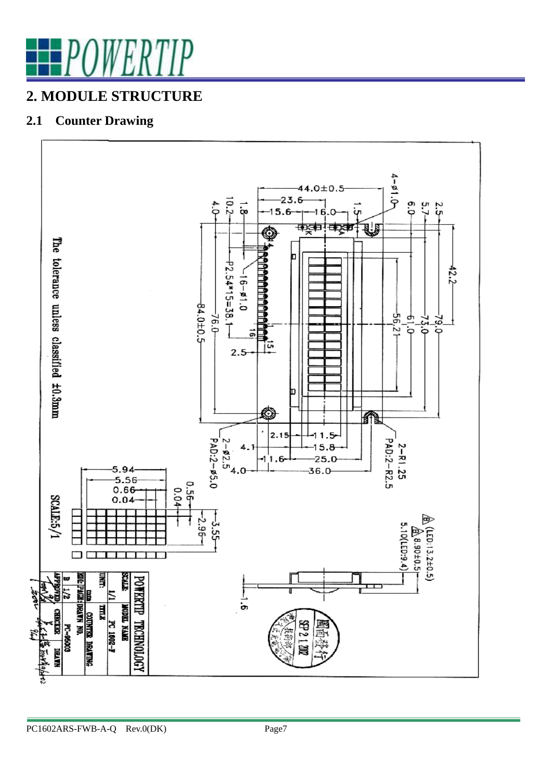

# **2. MODULE STRUCTURE**

#### **2.1 Counter Drawing**

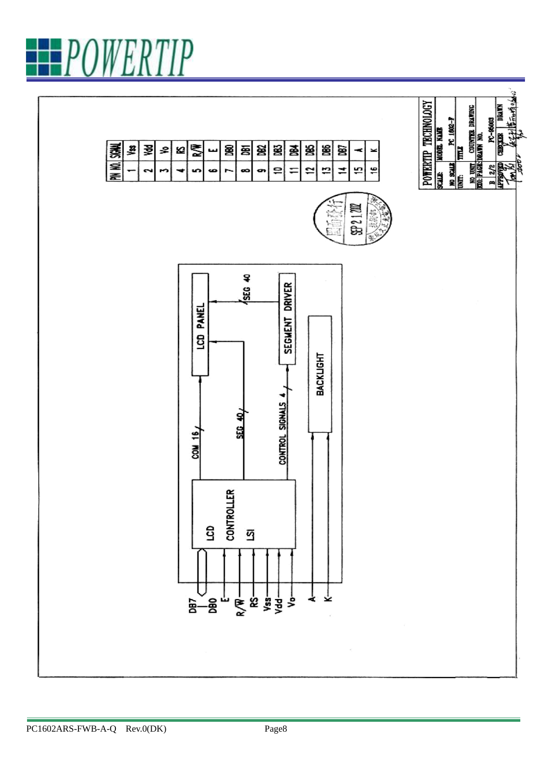

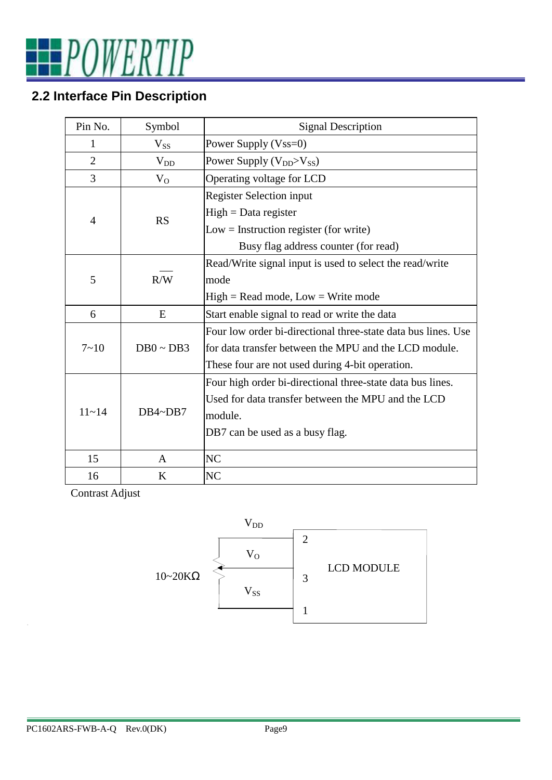

# **2.2 Interface Pin Description**

| Pin No.        | Symbol         | <b>Signal Description</b>                                     |
|----------------|----------------|---------------------------------------------------------------|
| 1              | $V_{SS}$       | Power Supply (Vss=0)                                          |
| $\overline{2}$ | $V_{DD}$       | Power Supply (V <sub>DD</sub> >V <sub>SS</sub> )              |
| 3              | $V_{O}$        | Operating voltage for LCD                                     |
|                |                | <b>Register Selection input</b>                               |
| $\overline{4}$ | <b>RS</b>      | $High = Data register$                                        |
|                |                | $Low = Instruction register (for write)$                      |
|                |                | Busy flag address counter (for read)                          |
|                |                | Read/Write signal input is used to select the read/write      |
| 5              | R/W            | mode                                                          |
|                |                | $High = Read mode, Low = Write mode$                          |
| 6              | E              | Start enable signal to read or write the data                 |
|                |                | Four low order bi-directional three-state data bus lines. Use |
| $7 - 10$       | $DB0 \sim DB3$ | for data transfer between the MPU and the LCD module.         |
|                |                | These four are not used during 4-bit operation.               |
|                |                | Four high order bi-directional three-state data bus lines.    |
|                |                | Used for data transfer between the MPU and the LCD            |
| $11 - 14$      | DB4~DB7        | module.                                                       |
|                |                | DB7 can be used as a busy flag.                               |
|                |                |                                                               |
| 15             | A              | NC                                                            |
| 16             | K              | N <sub>C</sub>                                                |

Contrast Adjust

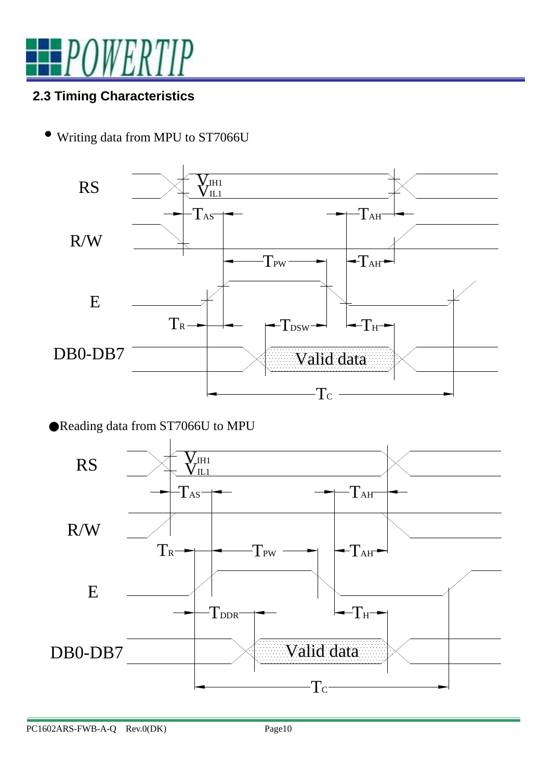

#### **2.3 Timing Characteristics**

• Writing data from MPU to ST7066U



●Reading data from ST7066U to MPU

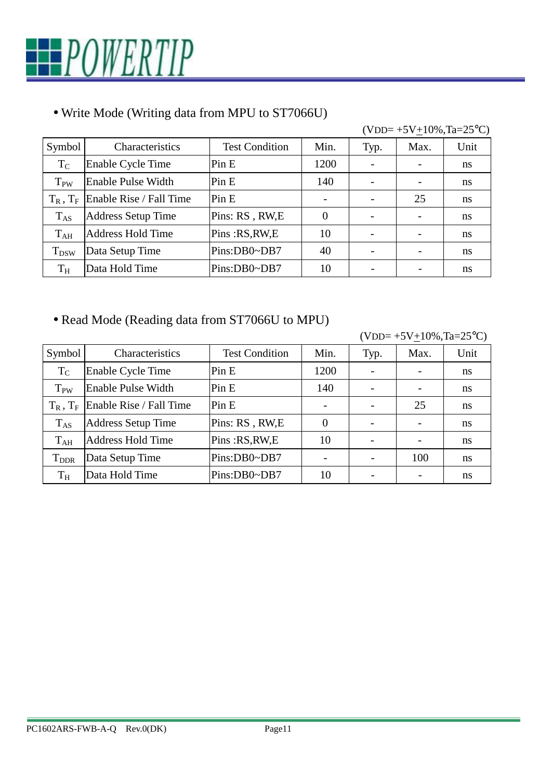

#### • Write Mode (Writing data from MPU to ST7066U)

|                 |                           |                       |                          |      | $(VDD=+5V+10\%, Ta=25\degree C)$ |      |
|-----------------|---------------------------|-----------------------|--------------------------|------|----------------------------------|------|
| Symbol          | Characteristics           | <b>Test Condition</b> | Min.                     | Typ. | Max.                             | Unit |
| $T_{C}$         | Enable Cycle Time         | Pin E                 | 1200                     |      |                                  | ns   |
| T <sub>PW</sub> | Enable Pulse Width        | Pin E                 | 140                      |      |                                  | ns   |
| $T_R$ , $T_F$   | Enable Rise / Fall Time   | Pin E                 | $\overline{\phantom{0}}$ |      | 25                               | ns   |
| $T_{AS}$        | <b>Address Setup Time</b> | Pins: RS, RW, E       | $\overline{0}$           |      |                                  | ns   |
| $T_{AH}$        | <b>Address Hold Time</b>  | Pins: RS, RW, E       | 10                       |      |                                  | ns   |
| $T_{DSW}$       | Data Setup Time           | Pins:DB0~DB7          | 40                       |      |                                  | ns   |
| $T_{\rm H}$     | Data Hold Time            | Pins:DB0~DB7          | 10                       |      |                                  | ns   |

#### • Read Mode (Reading data from ST7066U to MPU)

 $(VDD=+5V+10\%, Ta=25°C)$ 

| Symbol                  | Characteristics           | <b>Test Condition</b> | Min.     | Typ. | Max. | Unit |
|-------------------------|---------------------------|-----------------------|----------|------|------|------|
| $T_{\rm C}$             | Enable Cycle Time         | Pin E                 | 1200     |      |      | ns   |
| $T_{PW}$                | <b>Enable Pulse Width</b> | Pin E                 | 140      |      |      | ns   |
| $T_R$ , $T_F$           | Enable Rise / Fall Time   | Pin E                 |          |      | 25   | ns   |
| $T_{AS}$                | <b>Address Setup Time</b> | Pins: RS, RW, E       | $\Omega$ |      |      | ns   |
| $T_{AH}$                | <b>Address Hold Time</b>  | Pins: RS, RW, E       | 10       |      |      | ns   |
| <b>T</b> <sub>DDR</sub> | Data Setup Time           | Pins:DB0~DB7          |          |      | 100  | ns   |
| $\rm T_H$               | Data Hold Time            | Pins:DB0~DB7          | 10       |      |      | ns   |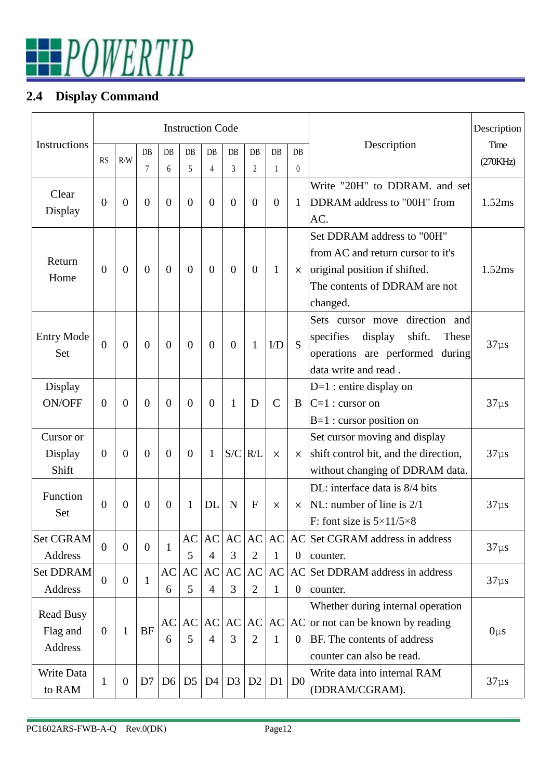

### **2.4 Display Command**

|                     |                |                |                |                | <b>Instruction Code</b> |                        |                          |                |                |                  | Description                              |           |  |
|---------------------|----------------|----------------|----------------|----------------|-------------------------|------------------------|--------------------------|----------------|----------------|------------------|------------------------------------------|-----------|--|
| <b>Instructions</b> |                |                | DB             | DB             | DB                      | DB                     | DB                       | DB             | DB             | DB               | Description                              | Time      |  |
|                     | <b>RS</b>      | R/W            | 7              | 6              | 5                       | $\overline{4}$         | 3                        | $\overline{2}$ | $\mathbf{1}$   | $\boldsymbol{0}$ |                                          | (270KHz)  |  |
|                     |                |                |                |                |                         |                        |                          |                |                |                  | Write "20H" to DDRAM. and set            |           |  |
| Clear               | $\overline{0}$ | $\overline{0}$ | $\overline{0}$ | $\overline{0}$ | $\overline{0}$          | $\overline{0}$         | $\overline{0}$           | $\overline{0}$ | $\overline{0}$ | $\mathbf{1}$     | DDRAM address to "00H" from              | 1.52ms    |  |
| Display             |                |                |                |                |                         |                        |                          |                |                |                  | AC.                                      |           |  |
|                     |                |                |                |                |                         |                        |                          |                |                |                  | Set DDRAM address to "00H"               |           |  |
| Return              |                |                |                |                |                         |                        |                          |                |                |                  | from AC and return cursor to it's        |           |  |
| Home                | $\theta$       | $\overline{0}$ | $\Omega$       | $\theta$       | $\overline{0}$          | $\overline{0}$         | $\Omega$                 | $\overline{0}$ | 1              | X                | original position if shifted.            | 1.52ms    |  |
|                     |                |                |                |                |                         |                        |                          |                |                |                  | The contents of DDRAM are not            |           |  |
|                     |                |                |                |                |                         |                        |                          |                |                |                  | changed.                                 |           |  |
|                     |                |                |                |                |                         |                        |                          |                |                |                  | direction and<br>Sets cursor move        |           |  |
| <b>Entry Mode</b>   | $\overline{0}$ | $\overline{0}$ | $\theta$       | $\overline{0}$ | $\overline{0}$          | $\overline{0}$         | $\theta$                 | $\mathbf{1}$   | $\rm{ID}$      | S                | specifies<br>display<br>shift.<br>These  | $37\mu s$ |  |
| Set                 |                |                |                |                |                         |                        |                          |                |                |                  | operations are performed during          |           |  |
|                     |                |                |                |                |                         |                        |                          |                |                |                  | data write and read.                     |           |  |
| Display             |                |                |                |                |                         |                        |                          |                |                |                  | $D=1$ : entire display on                |           |  |
| ON/OFF              | $\Omega$       | $\overline{0}$ | $\theta$       | $\Omega$       | $\overline{0}$          | $\theta$               | 1                        | D              | $\overline{C}$ | B                | $C=1$ : cursor on                        | $37\mu s$ |  |
|                     |                |                |                |                |                         |                        |                          |                |                |                  | $B=1$ : cursor position on               |           |  |
| Cursor or           |                |                |                |                |                         |                        |                          |                |                |                  | Set cursor moving and display            |           |  |
| Display             | $\overline{0}$ | $\overline{0}$ | $\overline{0}$ | $\theta$       | $\overline{0}$          | 1                      | S/C                      | R/L            | $\times$       | $\times$         | shift control bit, and the direction,    | $37\mu s$ |  |
| Shift               |                |                |                |                |                         |                        |                          |                |                |                  | without changing of DDRAM data.          |           |  |
| Function            |                |                |                |                |                         |                        |                          |                |                |                  | DL: interface data is 8/4 bits           |           |  |
| Set                 | $\overline{0}$ | $\overline{0}$ | $\overline{0}$ | $\theta$       | $\mathbf{1}$            | DL                     | N                        | $\overline{F}$ | X              | X                | NL: number of line is $2/1$              | $37\mu s$ |  |
|                     |                |                |                |                |                         |                        |                          |                |                |                  | F: font size is $5 \times 11/5 \times 8$ |           |  |
| <b>Set CGRAM</b>    | $\overline{0}$ | $\overline{0}$ | $\theta$       | 1              | AC                      | $\mathbf{A}\mathbf{C}$ | AC                       | AC             | AC             |                  | AC Set CGRAM address in address          | $37\mu s$ |  |
| <b>Address</b>      |                |                |                |                | 5                       | $\overline{4}$         | 3                        | $\mathbf{2}$   | $\mathbf{1}$   | $\boldsymbol{0}$ | counter.                                 |           |  |
| Set DDRAM           | $\overline{0}$ | $\overline{0}$ | 1              | AC             | AC                      | AC                     | AC                       | AC             | AC             |                  | AC Set DDRAM address in address          | $37\mu s$ |  |
| <b>Address</b>      |                |                |                | 6              | 5                       | $\overline{4}$         | 3                        | $\overline{2}$ | $\mathbf{1}$   | $\theta$         | counter.                                 |           |  |
| <b>Read Busy</b>    |                |                |                |                |                         |                        |                          |                |                |                  | Whether during internal operation        |           |  |
| Flag and            | $\mathbf{0}$   | $\mathbf{1}$   | <b>BF</b>      | AC             | AC                      | AC                     | AC                       | AC             | AC             |                  | $AC$ or not can be known by reading      | $0\mu s$  |  |
| Address             |                |                |                | 6              | 5                       | $\overline{4}$         | 3<br>$\overline{2}$<br>1 |                |                | $\overline{0}$   | BF. The contents of address              |           |  |
|                     |                |                |                |                |                         |                        |                          |                |                |                  | counter can also be read.                |           |  |
| Write Data          | 1              | $\theta$       | D7             | D <sub>6</sub> | D <sub>5</sub>          | D4                     | D3                       | D2             | D <sub>1</sub> | D <sub>0</sub>   | Write data into internal RAM             | $37\mu s$ |  |
| to RAM              |                |                |                |                |                         |                        |                          |                |                |                  | (DDRAM/CGRAM).                           |           |  |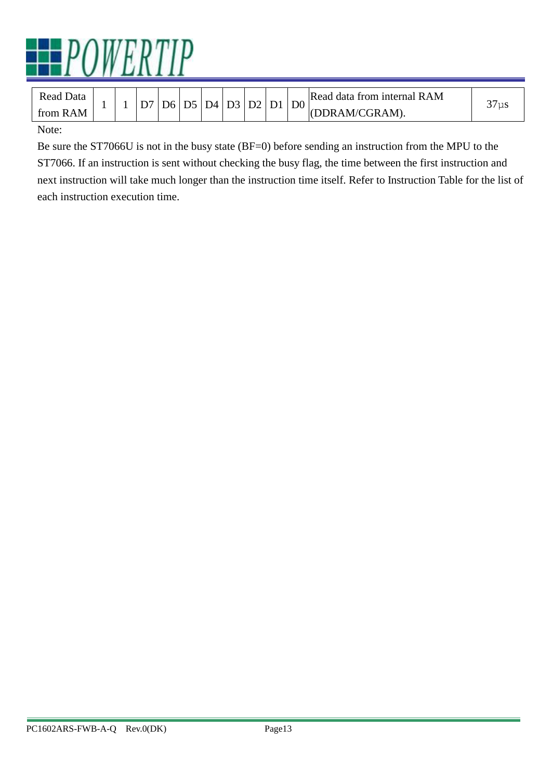

| Read Data |  | D6 | D5 | D4 | D3 |  | D2<br>D1 | D <sub>0</sub> | Read data from internal RAM | $\sqrt{2}$<br>$\sim$ $\sim$ |
|-----------|--|----|----|----|----|--|----------|----------------|-----------------------------|-----------------------------|
| from RAM  |  |    |    |    |    |  |          |                | (DDRAM/CGRAM).              | $J1 \mu2$                   |
|           |  |    |    |    |    |  |          |                |                             |                             |

#### Note:

Be sure the ST7066U is not in the busy state (BF=0) before sending an instruction from the MPU to the ST7066. If an instruction is sent without checking the busy flag, the time between the first instruction and next instruction will take much longer than the instruction time itself. Refer to Instruction Table for the list of each instruction execution time.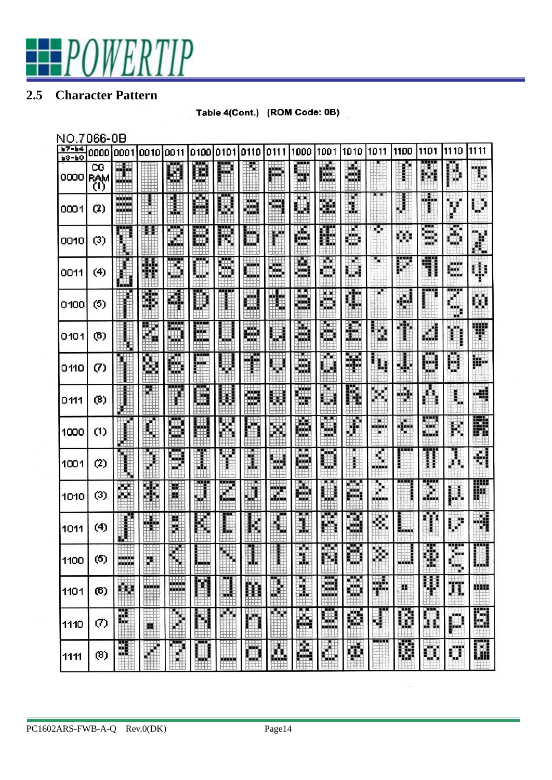# POWERTIP

#### **2.5 Character Pattern**

| Table 4(Cont.) (ROM Code: 0B) |
|-------------------------------|
|                               |

| NO.7                 | 066-0B           |                              |                     |                  |           |                             |            |                                     |             |                        |                    |                       |          |                   |                           |             |
|----------------------|------------------|------------------------------|---------------------|------------------|-----------|-----------------------------|------------|-------------------------------------|-------------|------------------------|--------------------|-----------------------|----------|-------------------|---------------------------|-------------|
| $b7 - b4$<br>$b3-b0$ | 0000             | 0001                         | 0010                | 0011             | 0100      | 0101                        | 0110       | 0111                                | 1000        | 1001                   | 1010               | 1011                  | 1100     | 1101              | 1110                      | 1111        |
| 0000                 | CG<br>RAM<br>(1) | E.                           |                     | ∰                | B         | 賱<br>łН                     |            | m.<br>Mi                            | W           | Ŕ.                     | á                  |                       |          |                   | Ď                         | T.          |
| 0001                 | (2)              | an an a<br>a wanda<br>in sin |                     | W                | Ā         | H                           | ä          | H<br>$+ + +$                        | Ö<br>TTT    | X                      | $\downarrow$<br>ü. |                       | ₿        | 4                 | y                         | Ų           |
| 0010                 | (3)              | 脚                            | 耕                   | H<br><b>TTTT</b> | <br>₩     | 戵                           | Ь          | W<br>TT11                           | M<br>Шt     | Æ                      | Щ<br>ĦИ            | ×,                    | εó       | Š                 | õ                         | X           |
| 0011                 | (4)              | Ш.<br>التار                  | 攤                   | B                | 88 B<br>  | 5                           | Ċ          | s<br>111.                           | Š           | Ä                      |                    | х                     | ļ        | 41                | n#<br><b>STATE</b>        | ψ           |
| 0100                 | (5)              | <b>HEELS</b>                 | Ï                   | E.               | J         | <b>BOED!</b>                | H.<br>EU.  | H                                   | ä           | Ä                      | ¢                  |                       | ۰        | 88 E E            | w<br>澿<br>icht.<br>譠      | C)          |
| 0101                 | (6)              | <b>Hilling</b>               | Ħ<br><del>UHH</del> | H<br><b>HH</b>   | E         | U                           | 獵          | W                                   | à           | H                      | 澳<br>39            | Ψ,<br>U.              | ÿ<br>œ   | ان                | ħ                         | Ŧ           |
| 0110                 | (7)              |                              | Å                   | E                | ш         | l                           | Ŧ          | $\hat{\mathbb{Q}}$                  | ä,          | HH.<br>H               | ¥                  | ĩ.                    | J.       | 8 S S<br>м<br>Чij | Ð                         | įk-         |
| 0111                 | (8)              | d H<br><b>CELL</b>           | HHHH                | H                | G         | Ш                           | Ä          | ü                                   | W           | Я<br>閧                 | ш<br>B.            | 眏                     | M,       | 轴<br>i.           | \$                        | -48         |
| 1000                 | (1)              |                              | H                   | I                | 開         | 関                           | ij         | H.                                  | M           | 魙                      | 躣                  | - 1<br><b>.</b><br>î. | ¢,       | 蠟<br>in d         | К                         | ₽           |
| 1001                 | (2)              | Ŧ                            | X                   | D                |           | W                           | ï          | 賱<br><b>Service</b><br>$^{\rm{HH}}$ | e)          | Ö                      | Ĭ                  | q,<br>.               | ----     | I                 | Å,                        | 4           |
| 1010                 | (3)              | 쬁                            | P.                  | m                | J         | E.                          | H<br>THE   | X                                   | ė.          | U                      | Œ.<br>pm           | ×<br>п<br>$\Phi$<br>  |          | I                 | μ                         | ija<br>11   |
| 1011                 | (4)              | Œ                            | H                   |                  | é         |                             | H          | Æ                                   | ï           | Ñ.                     | M                  | ¢,                    | inininin | Ц.                | Ų                         | 4           |
| 1100                 | (5)              | <b>HANN</b><br>-----         | 雜<br>ŦF             |                  | 凲<br>雦    | 鼺                           | कम<br>讕    | HH H<br>H<br>$+ + +$                | H.<br>Ħ     | <b>DARCH</b><br>函<br>Ш | <b>PARK</b><br>脚   | Ķ.                    | pont     | щ<br>Φ            | w<br>È,<br>$\blacksquare$ | 33,000<br>Ш |
| 1101                 | (6)              | W                            |                     | W<br>羅           | Ħ<br>TTT. | --<br>U<br><del>977 F</del> | Ħ<br>EHH I | ш<br>H<br>罪罪                        | Ñ.<br>$+++$ | 2<br>utt               | S.                 | ₩                     | ж        | II.               | π                         | <b>HIM</b>  |
| 1110                 | $\sigma$         | Ë.                           | Ħ                   | E                | H<br>賱    | 脚<br>EHH                    | Ħ<br>an a  | 瞴                                   | Ä<br>HH F   | Ø                      | Ø                  | Ţ                     | Ø        | Ω                 | p                         | 圜           |
| 1111                 | (8)              | 跟                            |                     | kin,<br>H        | 888<br>E. | بنبيب                       | W          | B.<br>Hill                          | Ã<br>用用     | E                      | Ö.                 | ,,,,,                 | Ŵ        | Ö.                | Ű                         | 圖           |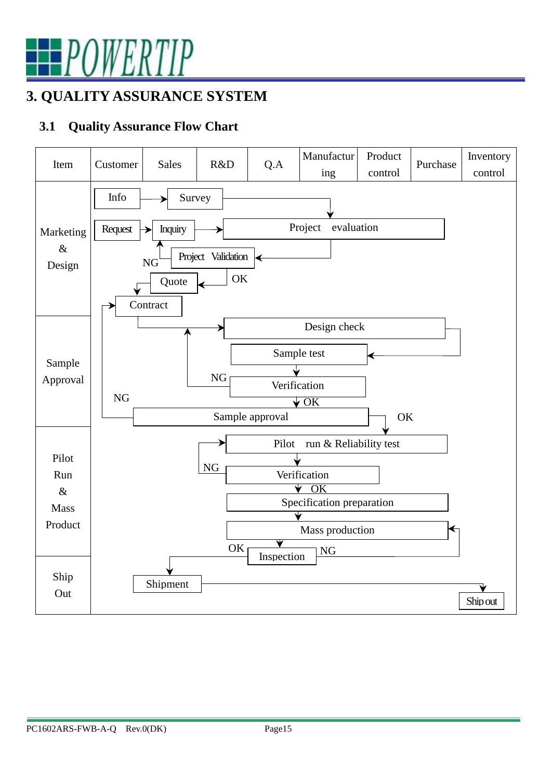

## **3. QUALITY ASSURANCE SYSTEM**

#### **3.1 Quality Assurance Flow Chart**

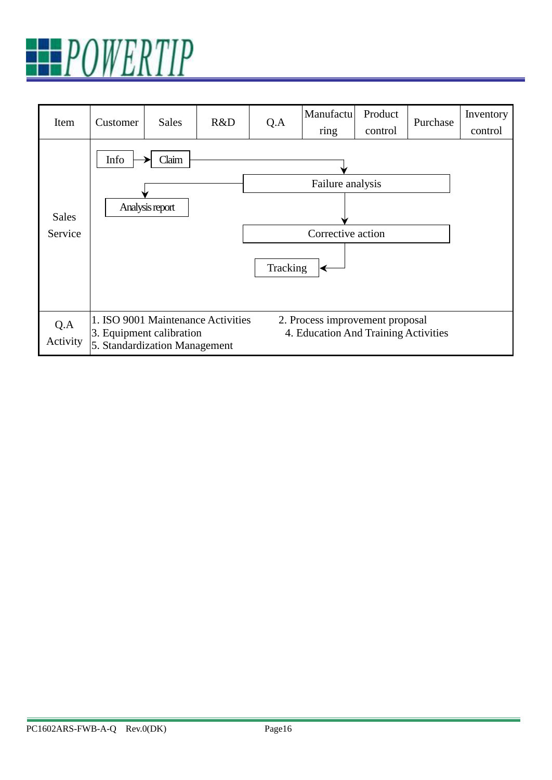

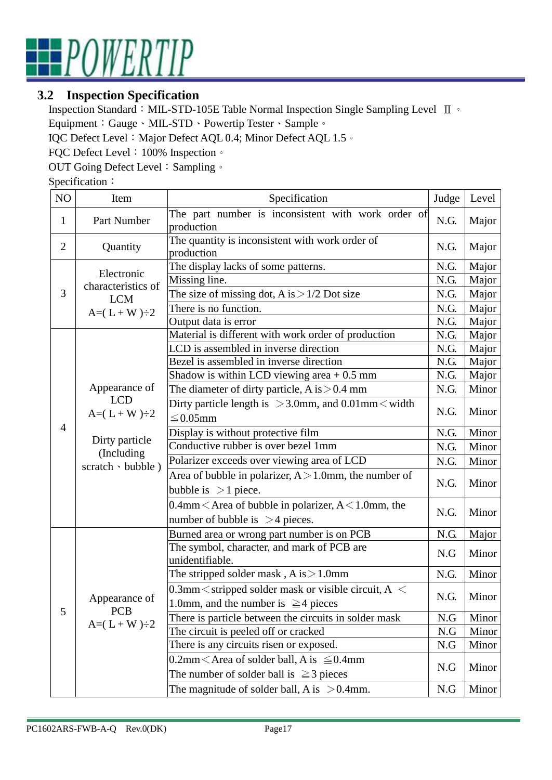

#### **3.2 Inspection Specification**

Inspection Standard:MIL-STD-105E Table Normal Inspection Single Sampling Level Ⅱ。 Equipment:Gauge、MIL-STD、Powertip Tester、Sample。

IQC Defect Level: Major Defect AQL 0.4; Minor Defect AQL 1.5。

FQC Defect Level: 100% Inspection。

OUT Going Defect Level: Sampling 。

Specification:

| NO             | Item               | Specification                                                                                       | Judge | Level |
|----------------|--------------------|-----------------------------------------------------------------------------------------------------|-------|-------|
| 1              | Part Number        | The part number is inconsistent with work order of<br>production                                    | N.G.  | Major |
| $\overline{2}$ | Quantity           | The quantity is inconsistent with work order of<br>production                                       | N.G.  | Major |
|                | Electronic         | The display lacks of some patterns.                                                                 | N.G.  | Major |
|                | characteristics of | Missing line.                                                                                       | N.G.  | Major |
| 3              | <b>LCM</b>         | The size of missing dot, A is $>1/2$ Dot size                                                       | N.G.  | Major |
|                | $A=(L+W)\div 2$    | There is no function.                                                                               | N.G.  | Major |
|                |                    | Output data is error                                                                                | N.G.  | Major |
|                |                    | Material is different with work order of production                                                 | N.G.  | Major |
|                |                    | LCD is assembled in inverse direction                                                               | N.G.  | Major |
|                |                    | Bezel is assembled in inverse direction                                                             | N.G.  | Major |
|                |                    | Shadow is within LCD viewing area $+0.5$ mm                                                         | N.G.  | Major |
|                | Appearance of      | The diameter of dirty particle, A is $> 0.4$ mm                                                     | N.G.  | Minor |
|                | $A=(L+W)\div 2$    | <b>LCD</b><br>Dirty particle length is $>3.0$ mm, and $0.01$ mm $<$ width<br>$\leq$ 0.05mm          |       | Minor |
| $\overline{4}$ | Dirty particle     | Display is without protective film                                                                  | N.G.  | Minor |
|                |                    | Conductive rubber is over bezel 1mm                                                                 | N.G.  | Minor |
|                | (Including         | Polarizer exceeds over viewing area of LCD                                                          | N.G.  | Minor |
|                | scratch · bubble)  | Area of bubble in polarizer, $A > 1.0$ mm, the number of<br>bubble is $>1$ piece.                   | N.G.  | Minor |
|                |                    | 0.4mm $\leq$ Area of bubble in polarizer, A $\leq$ 1.0mm, the<br>number of bubble is $>4$ pieces.   | N.G.  | Minor |
|                |                    | Burned area or wrong part number is on PCB                                                          | N.G.  | Major |
|                |                    | The symbol, character, and mark of PCB are<br>unidentifiable.                                       | N.G   | Minor |
|                |                    | The stripped solder mask, $A$ is $>1.0$ mm                                                          | N.G.  | Minor |
|                |                    | 0.3mm $\le$ stripped solder mask or visible circuit, A $\le$                                        |       |       |
|                | Appearance of      | 1.0mm, and the number is $\geq 4$ pieces                                                            | N.G.  | Minor |
| 5              | <b>PCB</b>         | There is particle between the circuits in solder mask                                               | N.G   | Minor |
|                | $A=(L+W)\div 2$    | The circuit is peeled off or cracked                                                                | N.G   | Minor |
|                |                    | There is any circuits risen or exposed.                                                             | N.G   | Minor |
|                |                    | 0.2mm $\leq$ Area of solder ball, A is $\leq$ 0.4mm<br>The number of solder ball is $\geq$ 3 pieces | N.G   | Minor |
|                |                    | The magnitude of solder ball, A is $> 0.4$ mm.                                                      | N.G   | Minor |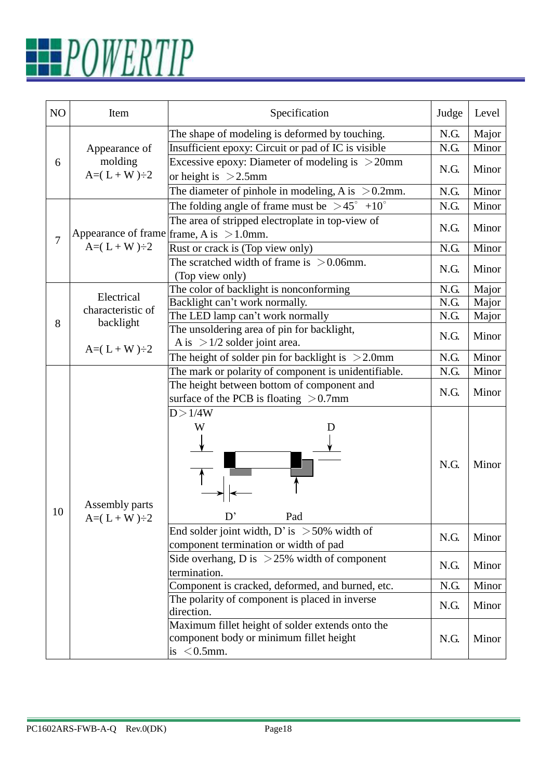# POWERTIP

| NO | Item                              | Specification                                                                                                 | Judge | Level |
|----|-----------------------------------|---------------------------------------------------------------------------------------------------------------|-------|-------|
|    |                                   | The shape of modeling is deformed by touching.                                                                | N.G.  | Major |
|    | Appearance of                     | Insufficient epoxy: Circuit or pad of IC is visible                                                           | N.G.  | Minor |
| 6  | molding<br>$A=(L+W)\div 2$        | Excessive epoxy: Diameter of modeling is $>20$ mm<br>or height is $>2.5$ mm                                   | N.G.  | Minor |
|    |                                   | The diameter of pinhole in modeling, A is $> 0.2$ mm.                                                         | N.G.  | Minor |
|    |                                   | The folding angle of frame must be $>45^{\circ}$ +10 <sup>°</sup>                                             | N.G.  | Minor |
|    |                                   | The area of stripped electroplate in top-view of<br>Appearance of frame $ $ frame, A is $>1.0$ mm.            | N.G.  | Minor |
| 7  | $A=(L+W)\div 2$                   | Rust or crack is (Top view only)                                                                              | N.G.  | Minor |
|    |                                   | The scratched width of frame is $> 0.06$ mm.<br>(Top view only)                                               | N.G.  | Minor |
|    |                                   | The color of backlight is nonconforming                                                                       | N.G.  | Major |
|    | Electrical                        | Backlight can't work normally.                                                                                | N.G.  | Major |
|    | characteristic of                 | The LED lamp can't work normally                                                                              | N.G.  | Major |
| 8  | backlight<br>$A=(L+W)\div 2$      | The unsoldering area of pin for backlight,<br>A is $>1/2$ solder joint area.                                  | N.G.  | Minor |
|    |                                   | The height of solder pin for backlight is $>2.0$ mm                                                           | N.G.  | Minor |
|    |                                   | The mark or polarity of component is unidentifiable.                                                          | N.G.  | Minor |
|    |                                   | The height between bottom of component and<br>surface of the PCB is floating $> 0.7$ mm                       | N.G.  | Minor |
| 10 | Assembly parts<br>$A=(L+W)\div 2$ | D > 1/4W<br>W<br>D<br>Pad                                                                                     | N.G.  | Minor |
|    |                                   | End solder joint width, D' is $>50\%$ width of<br>component termination or width of pad                       | N.G.  | Minor |
|    |                                   | Side overhang, D is $>25\%$ width of component<br>termination.                                                | N.G.  | Minor |
|    |                                   | Component is cracked, deformed, and burned, etc.                                                              | N.G.  | Minor |
|    |                                   | The polarity of component is placed in inverse<br>direction.                                                  | N.G.  | Minor |
|    |                                   | Maximum fillet height of solder extends onto the<br>component body or minimum fillet height<br>is $< 0.5$ mm. | N.G.  | Minor |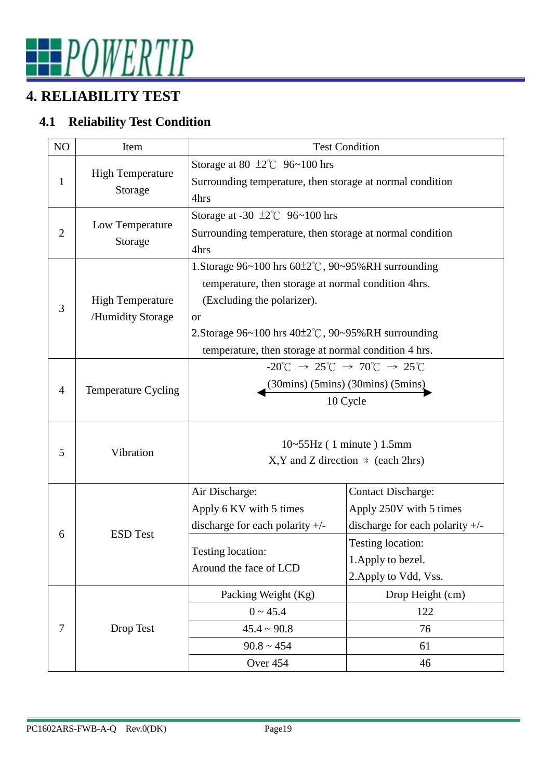

### **4. RELIABILITY TEST**

#### **4.1 Reliability Test Condition**

| N <sub>O</sub> | Item                       | <b>Test Condition</b>                                                                                           |                                   |  |  |  |  |  |
|----------------|----------------------------|-----------------------------------------------------------------------------------------------------------------|-----------------------------------|--|--|--|--|--|
| $\mathbf{1}$   | <b>High Temperature</b>    | Storage at 80 $\pm 2^{\circ}$ C 96~100 hrs<br>Surrounding temperature, then storage at normal condition         |                                   |  |  |  |  |  |
|                | Storage                    | 4hrs                                                                                                            |                                   |  |  |  |  |  |
|                |                            | Storage at -30 $\pm 2^{\circ}$ 96~100 hrs                                                                       |                                   |  |  |  |  |  |
| $\overline{2}$ | Low Temperature<br>Storage | Surrounding temperature, then storage at normal condition                                                       |                                   |  |  |  |  |  |
|                |                            | 4hrs                                                                                                            |                                   |  |  |  |  |  |
|                |                            | 1. Storage $96~100$ hrs $60\pm2\degree$ C, $90~95\%$ RH surrounding                                             |                                   |  |  |  |  |  |
|                |                            | temperature, then storage at normal condition 4hrs.                                                             |                                   |  |  |  |  |  |
| 3              | <b>High Temperature</b>    | (Excluding the polarizer).                                                                                      |                                   |  |  |  |  |  |
|                | /Humidity Storage          | <b>or</b>                                                                                                       |                                   |  |  |  |  |  |
|                |                            | 2. Storage $96~100$ hrs $40\pm2\degree$ C, $90~95\%$ RH surrounding                                             |                                   |  |  |  |  |  |
|                |                            | temperature, then storage at normal condition 4 hrs.                                                            |                                   |  |  |  |  |  |
|                |                            | $-20^{\circ}$ C $\rightarrow$ 25 <sup>°</sup> C $\rightarrow$ 70 <sup>°</sup> C $\rightarrow$ 25 <sup>°</sup> C |                                   |  |  |  |  |  |
| 4              | Temperature Cycling        | $(30 \text{mins})$ $(5 \text{mins})$ $(30 \text{mins})$ $(5 \text{mins})$                                       |                                   |  |  |  |  |  |
|                |                            | 10 Cycle                                                                                                        |                                   |  |  |  |  |  |
|                |                            |                                                                                                                 |                                   |  |  |  |  |  |
| 5              | Vibration                  | $10 \sim 55$ Hz (1 minute) 1.5mm<br>$X, Y$ and Z direction $*$ (each 2hrs)                                      |                                   |  |  |  |  |  |
|                |                            |                                                                                                                 |                                   |  |  |  |  |  |
|                |                            | Air Discharge:                                                                                                  | <b>Contact Discharge:</b>         |  |  |  |  |  |
|                |                            | Apply 6 KV with 5 times                                                                                         | Apply 250V with 5 times           |  |  |  |  |  |
|                |                            | discharge for each polarity $+/-$                                                                               | discharge for each polarity $+/-$ |  |  |  |  |  |
| 6              | <b>ESD</b> Test            |                                                                                                                 | Testing location:                 |  |  |  |  |  |
|                |                            | Testing location:                                                                                               | 1. Apply to bezel.                |  |  |  |  |  |
|                |                            | Around the face of LCD                                                                                          | 2. Apply to Vdd, Vss.             |  |  |  |  |  |
|                |                            | Packing Weight (Kg)                                                                                             | Drop Height (cm)                  |  |  |  |  |  |
|                |                            | $0 \sim 45.4$                                                                                                   | 122                               |  |  |  |  |  |
| 7              | Drop Test                  | $45.4 \sim 90.8$                                                                                                | 76                                |  |  |  |  |  |
|                |                            | $90.8 \sim 454$                                                                                                 | 61                                |  |  |  |  |  |
|                |                            | Over 454                                                                                                        | 46                                |  |  |  |  |  |